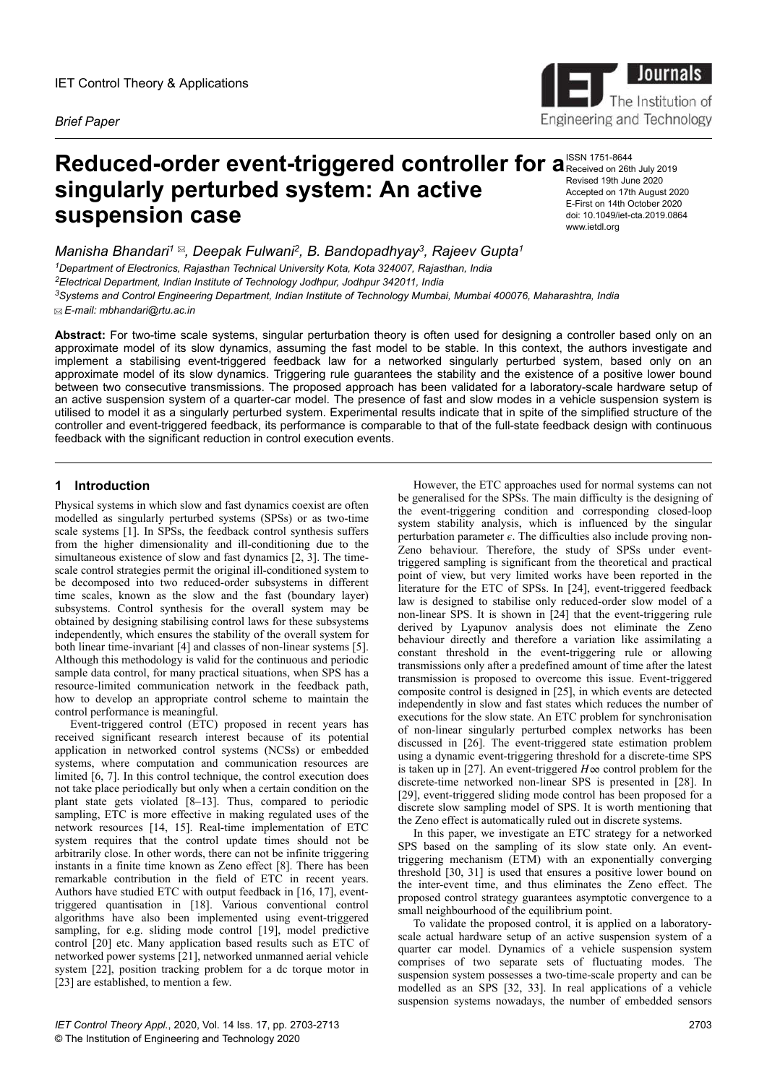

# **Reduced-order event-triggered controller for a ISSN 1751-8644 singularly perturbed system: An active suspension case**

*Manisha Bhandari<sup>1</sup> , Deepak Fulwani<sup>2</sup> , B. Bandopadhyay<sup>3</sup> , Rajeev Gupta<sup>1</sup> Department of Electronics, Rajasthan Technical University Kota, Kota 324007, Rajasthan, India Electrical Department, Indian Institute of Technology Jodhpur, Jodhpur 342011, India Systems and Control Engineering Department, Indian Institute of Technology Mumbai, Mumbai 400076, Maharashtra, India*

 *E-mail: mbhandari@rtu.ac.in*

**Abstract:** For two-time scale systems, singular perturbation theory is often used for designing a controller based only on an approximate model of its slow dynamics, assuming the fast model to be stable. In this context, the authors investigate and implement a stabilising event-triggered feedback law for a networked singularly perturbed system, based only on an approximate model of its slow dynamics. Triggering rule guarantees the stability and the existence of a positive lower bound between two consecutive transmissions. The proposed approach has been validated for a laboratory-scale hardware setup of an active suspension system of a quarter-car model. The presence of fast and slow modes in a vehicle suspension system is utilised to model it as a singularly perturbed system. Experimental results indicate that in spite of the simplified structure of the controller and event-triggered feedback, its performance is comparable to that of the full-state feedback design with continuous feedback with the significant reduction in control execution events.

# **1 Introduction**

Physical systems in which slow and fast dynamics coexist are often modelled as singularly perturbed systems (SPSs) or as two-time scale systems [1]. In SPSs, the feedback control synthesis suffers from the higher dimensionality and ill-conditioning due to the simultaneous existence of slow and fast dynamics [2, 3]. The timescale control strategies permit the original ill-conditioned system to be decomposed into two reduced-order subsystems in different time scales, known as the slow and the fast (boundary layer) subsystems. Control synthesis for the overall system may be obtained by designing stabilising control laws for these subsystems independently, which ensures the stability of the overall system for both linear time-invariant [4] and classes of non-linear systems [5]. Although this methodology is valid for the continuous and periodic sample data control, for many practical situations, when SPS has a resource-limited communication network in the feedback path, how to develop an appropriate control scheme to maintain the control performance is meaningful.

Event-triggered control (ETC) proposed in recent years has received significant research interest because of its potential application in networked control systems (NCSs) or embedded systems, where computation and communication resources are limited [6, 7]. In this control technique, the control execution does not take place periodically but only when a certain condition on the plant state gets violated [8–13]. Thus, compared to periodic sampling, ETC is more effective in making regulated uses of the network resources [14, 15]. Real-time implementation of ETC system requires that the control update times should not be arbitrarily close. In other words, there can not be infinite triggering instants in a finite time known as Zeno effect [8]. There has been remarkable contribution in the field of ETC in recent years. Authors have studied ETC with output feedback in [16, 17], eventtriggered quantisation in [18]. Various conventional control algorithms have also been implemented using event-triggered sampling, for e.g. sliding mode control [19], model predictive control [20] etc. Many application based results such as ETC of networked power systems [21], networked unmanned aerial vehicle system [22], position tracking problem for a dc torque motor in [23] are established, to mention a few.

*IET Control Theory Appl.*, 2020, Vol. 14 Iss. 17, pp. 2703-2713 © The Institution of Engineering and Technology 2020

However, the ETC approaches used for normal systems can not be generalised for the SPSs. The main difficulty is the designing of the event-triggering condition and corresponding closed-loop system stability analysis, which is influenced by the singular perturbation parameter  $\epsilon$ . The difficulties also include proving non-Zeno behaviour. Therefore, the study of SPSs under eventtriggered sampling is significant from the theoretical and practical point of view, but very limited works have been reported in the literature for the ETC of SPSs. In [24], event-triggered feedback law is designed to stabilise only reduced-order slow model of a non-linear SPS. It is shown in [24] that the event-triggering rule derived by Lyapunov analysis does not eliminate the Zeno behaviour directly and therefore a variation like assimilating a constant threshold in the event-triggering rule or allowing transmissions only after a predefined amount of time after the latest transmission is proposed to overcome this issue. Event-triggered composite control is designed in [25], in which events are detected independently in slow and fast states which reduces the number of executions for the slow state. An ETC problem for synchronisation of non-linear singularly perturbed complex networks has been discussed in [26]. The event-triggered state estimation problem using a dynamic event-triggering threshold for a discrete-time SPS is taken up in [27]. An event-triggered  $H\infty$  control problem for the discrete-time networked non-linear SPS is presented in [28]. In [29], event-triggered sliding mode control has been proposed for a discrete slow sampling model of SPS. It is worth mentioning that the Zeno effect is automatically ruled out in discrete systems.

In this paper, we investigate an ETC strategy for a networked SPS based on the sampling of its slow state only. An eventtriggering mechanism (ETM) with an exponentially converging threshold [30, 31] is used that ensures a positive lower bound on the inter-event time, and thus eliminates the Zeno effect. The proposed control strategy guarantees asymptotic convergence to a small neighbourhood of the equilibrium point.

To validate the proposed control, it is applied on a laboratoryscale actual hardware setup of an active suspension system of a quarter car model. Dynamics of a vehicle suspension system comprises of two separate sets of fluctuating modes. The suspension system possesses a two-time-scale property and can be modelled as an SPS [32, 33]. In real applications of a vehicle suspension systems nowadays, the number of embedded sensors

Received on 26th July 2019 Revised 19th June 2020 Accepted on 17th August 2020 E-First on 14th October 2020 doi: 10.1049/iet-cta.2019.0864 www.ietdl.org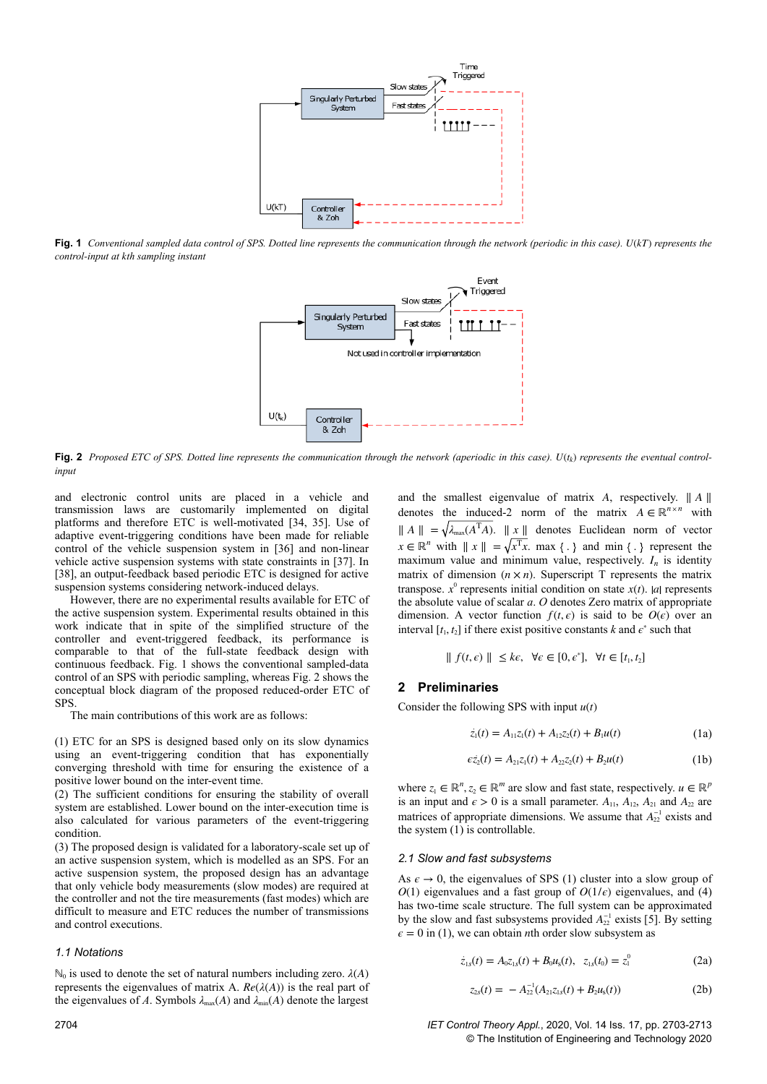

**Fig. 1** *Conventional sampled data control of SPS. Dotted line represents the communication through the network (periodic in this case). U*(*kT*) *represents the control-input at kth sampling instant*



**Fig. 2** *Proposed ETC of SPS. Dotted line represents the communication through the network (aperiodic in this case). U*(*t<sup>k</sup>* ) *represents the eventual controlinput*

and electronic control units are placed in a vehicle and transmission laws are customarily implemented on digital platforms and therefore ETC is well-motivated [34, 35]. Use of adaptive event-triggering conditions have been made for reliable control of the vehicle suspension system in [36] and non-linear vehicle active suspension systems with state constraints in [37]. In [38], an output-feedback based periodic ETC is designed for active suspension systems considering network-induced delays.

However, there are no experimental results available for ETC of the active suspension system. Experimental results obtained in this work indicate that in spite of the simplified structure of the controller and event-triggered feedback, its performance is comparable to that of the full-state feedback design with continuous feedback. Fig. 1 shows the conventional sampled-data control of an SPS with periodic sampling, whereas Fig. 2 shows the conceptual block diagram of the proposed reduced-order ETC of SPS.

The main contributions of this work are as follows:

(1) ETC for an SPS is designed based only on its slow dynamics using an event-triggering condition that has exponentially converging threshold with time for ensuring the existence of a positive lower bound on the inter-event time.

(2) The sufficient conditions for ensuring the stability of overall system are established. Lower bound on the inter-execution time is also calculated for various parameters of the event-triggering condition.

(3) The proposed design is validated for a laboratory-scale set up of an active suspension system, which is modelled as an SPS. For an active suspension system, the proposed design has an advantage that only vehicle body measurements (slow modes) are required at the controller and not the tire measurements (fast modes) which are difficult to measure and ETC reduces the number of transmissions and control executions.

#### *1.1 Notations*

 $\mathbb{N}_0$  is used to denote the set of natural numbers including zero.  $λ(A)$ represents the eigenvalues of matrix A.  $Re(\lambda(A))$  is the real part of the eigenvalues of *A*. Symbols  $\lambda_{\text{max}}(A)$  and  $\lambda_{\text{min}}(A)$  denote the largest

and the smallest eigenvalue of matrix *A*, respectively. ∥ *A* ∥ denotes the induced-2 norm of the matrix  $A \in \mathbb{R}^{n \times n}$  with  $\| A \|$  =  $\sqrt{\lambda_{\text{max}}}(A^T A)$ .  $\| x \|$  denotes Euclidean norm of vector  $x \in \mathbb{R}^n$  with  $||x|| = \sqrt{x^T x}$ . max  $\{\cdot\}$  and min  $\{\cdot\}$  represent the maximum value and minimum value, respectively.  $I_n$  is identity matrix of dimension  $(n \times n)$ . Superscript T represents the matrix transpose.  $x^0$  represents initial condition on state  $x(t)$ . *a* represents the absolute value of scalar *a*. *O* denotes Zero matrix of appropriate dimension. A vector function  $f(t, \epsilon)$  is said to be  $O(\epsilon)$  over an interval  $[t_1, t_2]$  if there exist positive constants *k* and  $\epsilon^*$  such that

$$
\| f(t, \epsilon) \| \leq k\epsilon, \ \forall \epsilon \in [0, \epsilon^*], \ \forall t \in [t_1, t_2]
$$

# **2 Preliminaries**

Consider the following SPS with input *u*(*t*)

$$
\dot{z}_1(t) = A_{11}z_1(t) + A_{12}z_2(t) + B_1u(t)
$$
\n(1a)

$$
\epsilon \dot{z}_2(t) = A_{21} z_1(t) + A_{22} z_2(t) + B_2 u(t)
$$
 (1b)

where  $z_1 \in \mathbb{R}^n$ ,  $z_2 \in \mathbb{R}^m$  are slow and fast state, respectively.  $u \in \mathbb{R}^p$ is an input and  $\epsilon > 0$  is a small parameter.  $A_{11}$ ,  $A_{12}$ ,  $A_{21}$  and  $A_{22}$  are matrices of appropriate dimensions. We assume that  $A_{22}^{-1}$  exists and the system (1) is controllable.

### *2.1 Slow and fast subsystems*

As  $\epsilon \to 0$ , the eigenvalues of SPS (1) cluster into a slow group of *O*(1) eigenvalues and a fast group of *O*(1/ $\epsilon$ ) eigenvalues, and (4) has two-time scale structure. The full system can be approximated by the slow and fast subsystems provided  $A_{22}^{-1}$  exists [5]. By setting  $\epsilon = 0$  in (1), we can obtain *n*th order slow subsystem as

$$
\dot{z}_{1s}(t) = A_0 z_{1s}(t) + B_0 u_s(t), \ \ z_{1s}(t_0) = z_1^0 \tag{2a}
$$

$$
z_{2s}(t) = -A_{22}^{-1}(A_{21}z_{1s}(t) + B_2u_s(t))
$$
 (2b)

2704 *IET Control Theory Appl.*, 2020, Vol. 14 Iss. 17, pp. 2703-2713 © The Institution of Engineering and Technology 2020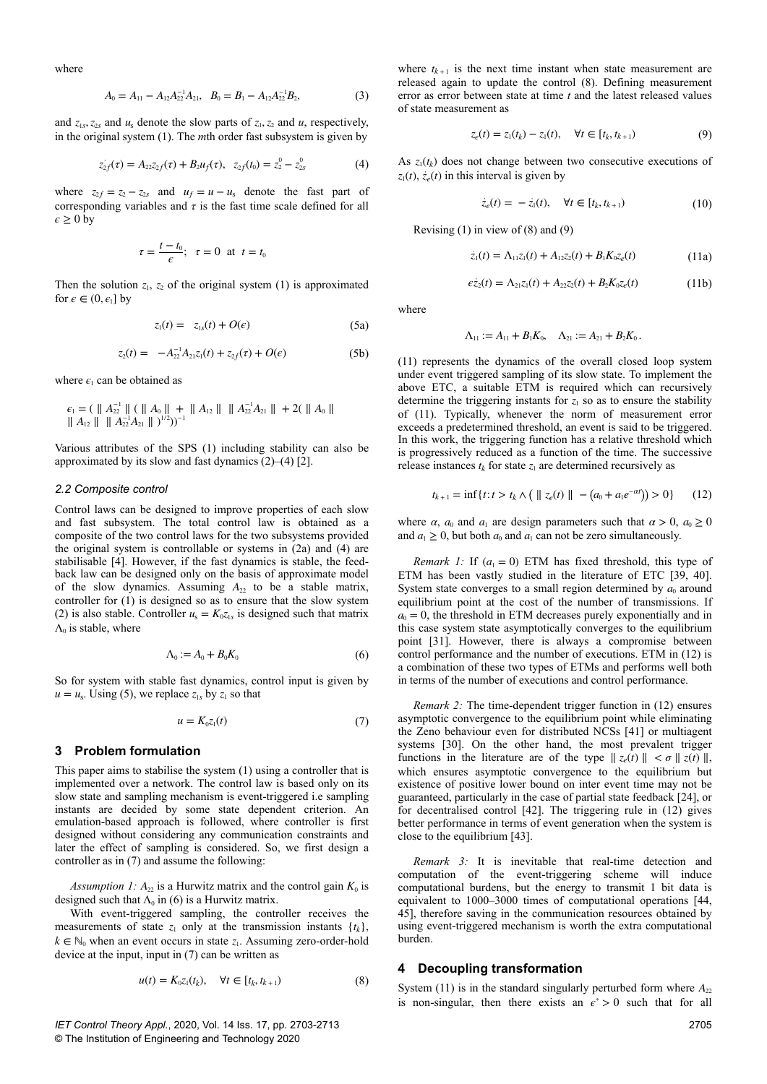where

$$
A_0 = A_{11} - A_{12}A_{22}^{-1}A_{21}, \quad B_0 = B_1 - A_{12}A_{22}^{-1}B_2,\tag{3}
$$

and  $z_{1s}$ ,  $z_{2s}$  and  $u_s$  denote the slow parts of  $z_1$ ,  $z_2$  and  $u$ , respectively, in the original system (1). The *m*th order fast subsystem is given by

$$
z_{2f}(\tau) = A_{22}z_{2f}(\tau) + B_2u_f(\tau), \ \ z_{2f}(t_0) = z_2^0 - z_{2s}^0 \tag{4}
$$

where  $z_{2f} = z_2 - z_{2s}$  and  $u_f = u - u_s$  denote the fast part of corresponding variables and  $\tau$  is the fast time scale defined for all  $\epsilon \geq 0$  by

$$
\tau = \frac{t - t_0}{\epsilon}; \quad \tau = 0 \quad \text{at} \quad t = t_0
$$

Then the solution  $z_1$ ,  $z_2$  of the original system (1) is approximated for  $\epsilon \in (0, \epsilon_1]$  by

$$
z_1(t) = z_{1s}(t) + O(\epsilon) \tag{5a}
$$

$$
z_2(t) = -A_{22}^{-1}A_{21}z_1(t) + z_{2f}(\tau) + O(\epsilon)
$$
 (5b)

where  $\epsilon_1$  can be obtained as

$$
\epsilon_1 = (\|A_{22}^{-1}\| \ ( \|A_0\| + \|A_{12}\| \|A_{22}^{-1}A_{21}\| + 2(\|A_0\|
$$
  

$$
\|A_{12}\| \|A_{22}^{-1}A_{21}\|)^{1/2})^{-1}
$$

Various attributes of the SPS (1) including stability can also be approximated by its slow and fast dynamics (2)–(4) [2].

## *2.2 Composite control*

Control laws can be designed to improve properties of each slow and fast subsystem. The total control law is obtained as a composite of the two control laws for the two subsystems provided the original system is controllable or systems in (2a) and (4) are stabilisable [4]. However, if the fast dynamics is stable, the feedback law can be designed only on the basis of approximate model of the slow dynamics. Assuming  $A_{22}$  to be a stable matrix, controller for  $(1)$  is designed so as to ensure that the slow system (2) is also stable. Controller  $u_s = K_0 z_{1s}$  is designed such that matrix  $\Lambda_0$  is stable, where

$$
\Lambda_0 := A_0 + B_0 K_0 \tag{6}
$$

So for system with stable fast dynamics, control input is given by  $u = u_s$ . Using (5), we replace  $z_{1s}$  by  $z_1$  so that

$$
u = K_0 z_1(t) \tag{7}
$$

## **3 Problem formulation**

This paper aims to stabilise the system (1) using a controller that is implemented over a network. The control law is based only on its slow state and sampling mechanism is event-triggered i.e sampling instants are decided by some state dependent criterion. An emulation-based approach is followed, where controller is first designed without considering any communication constraints and later the effect of sampling is considered. So, we first design a controller as in (7) and assume the following:

*Assumption 1:*  $A_{22}$  is a Hurwitz matrix and the control gain  $K_0$  is designed such that  $\Lambda_0$  in (6) is a Hurwitz matrix.

With event-triggered sampling, the controller receives the measurements of state  $z_1$  only at the transmission instants  $\{t_k\}$ ,  $k \in \mathbb{N}_0$  when an event occurs in state  $z_1$ . Assuming zero-order-hold device at the input, input in (7) can be written as

$$
u(t) = K_0 z_1(t_k), \quad \forall t \in [t_k, t_{k+1})
$$
\n
$$
(8)
$$

*IET Control Theory Appl.*, 2020, Vol. 14 Iss. 17, pp. 2703-2713 © The Institution of Engineering and Technology 2020

where  $t_{k+1}$  is the next time instant when state measurement are released again to update the control (8). Defining measurement error as error between state at time *t* and the latest released values of state measurement as

$$
z_e(t) = z_1(t_k) - z_1(t), \quad \forall t \in [t_k, t_{k+1})
$$
\n(9)

As  $z_1(t_k)$  does not change between two consecutive executions of  $z_1(t)$ ,  $\dot{z}_e(t)$  in this interval is given by

$$
\dot{z}_e(t) = -\dot{z}_1(t), \quad \forall t \in [t_k, t_{k+1})
$$
\n(10)

Revising  $(1)$  in view of  $(8)$  and  $(9)$ 

$$
\dot{z}_1(t) = \Lambda_{11} z_1(t) + A_{12} z_2(t) + B_1 K_0 z_e(t)
$$
\n(11a)

$$
\epsilon \dot{z}_2(t) = \Lambda_{21} z_1(t) + A_{22} z_2(t) + B_2 K_0 z_e(t) \tag{11b}
$$

where

$$
\Lambda_{11} := A_{11} + B_1 K_0, \quad \Lambda_{21} := A_{21} + B_2 K_0.
$$

(11) represents the dynamics of the overall closed loop system under event triggered sampling of its slow state. To implement the above ETC, a suitable ETM is required which can recursively determine the triggering instants for  $z<sub>1</sub>$  so as to ensure the stability of (11). Typically, whenever the norm of measurement error exceeds a predetermined threshold, an event is said to be triggered. In this work, the triggering function has a relative threshold which is progressively reduced as a function of the time. The successive release instances  $t_k$  for state  $z_1$  are determined recursively as

$$
t_{k+1} = \inf\{t : t > t_k \land \left( \parallel z_e(t) \parallel - (a_0 + a_1 e^{-\alpha t}) \right) > 0\} \tag{12}
$$

where  $\alpha$ ,  $a_0$  and  $a_1$  are design parameters such that  $\alpha > 0$ ,  $a_0 \ge 0$ and  $a_1 \geq 0$ , but both  $a_0$  and  $a_1$  can not be zero simultaneously.

*Remark 1:* If  $(a_1 = 0)$  ETM has fixed threshold, this type of ETM has been vastly studied in the literature of ETC [39, 40]. System state converges to a small region determined by  $a_0$  around equilibrium point at the cost of the number of transmissions. If  $a<sub>0</sub> = 0$ , the threshold in ETM decreases purely exponentially and in this case system state asymptotically converges to the equilibrium point [31]. However, there is always a compromise between control performance and the number of executions. ETM in (12) is a combination of these two types of ETMs and performs well both in terms of the number of executions and control performance.

*Remark 2:* The time-dependent trigger function in (12) ensures asymptotic convergence to the equilibrium point while eliminating the Zeno behaviour even for distributed NCSs [41] or multiagent systems [30]. On the other hand, the most prevalent trigger functions in the literature are of the type  $|| z_e(t) || < \sigma || z(t) ||$ , which ensures asymptotic convergence to the equilibrium but existence of positive lower bound on inter event time may not be guaranteed, particularly in the case of partial state feedback [24], or for decentralised control [42]. The triggering rule in (12) gives better performance in terms of event generation when the system is close to the equilibrium [43].

*Remark 3:* It is inevitable that real-time detection and computation of the event-triggering scheme will induce computational burdens, but the energy to transmit 1 bit data is equivalent to 1000–3000 times of computational operations [44, 45], therefore saving in the communication resources obtained by using event-triggered mechanism is worth the extra computational burden.

#### **4 Decoupling transformation**

System  $(11)$  is in the standard singularly perturbed form where  $A_{22}$ is non-singular, then there exists an  $\epsilon^* > 0$  such that for all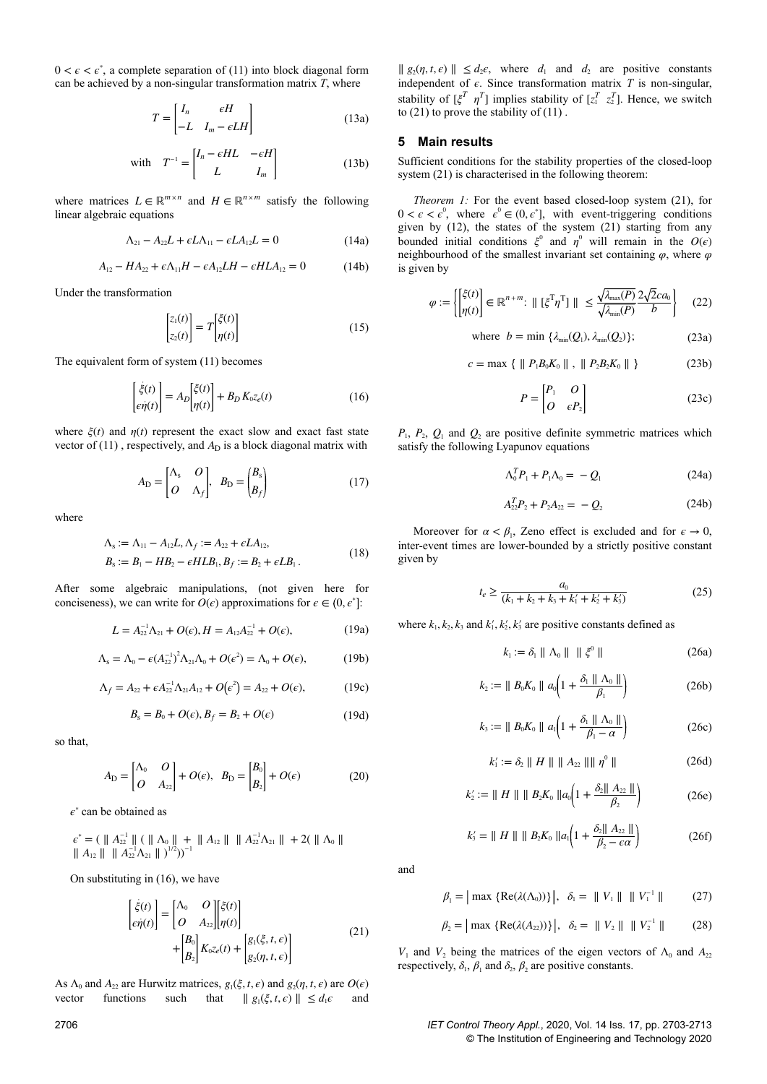$0 < \epsilon < \epsilon^*$ , a complete separation of (11) into block diagonal form can be achieved by a non-singular transformation matrix *T*, where

$$
T = \begin{bmatrix} I_n & \epsilon H \\ -L & I_m - \epsilon L H \end{bmatrix}
$$
 (13a)

with 
$$
T^{-1} = \begin{bmatrix} I_n - eHL & -eH \\ L & I_m \end{bmatrix}
$$
 (13b)

where matrices  $L \in \mathbb{R}^{m \times n}$  and  $H \in \mathbb{R}^{n \times m}$  satisfy the following linear algebraic equations

$$
\Lambda_{21} - A_{22}L + \epsilon L \Lambda_{11} - \epsilon L A_{12}L = 0 \tag{14a}
$$

$$
A_{12} - HA_{22} + \epsilon \Lambda_{11}H - \epsilon A_{12}LH - \epsilon HLA_{12} = 0 \tag{14b}
$$

Under the transformation

$$
\begin{bmatrix} z_1(t) \\ z_2(t) \end{bmatrix} = T \begin{bmatrix} \xi(t) \\ \eta(t) \end{bmatrix}
$$
 (15)

The equivalent form of system (11) becomes

$$
\begin{bmatrix} \dot{\xi}(t) \\ \epsilon \dot{\eta}(t) \end{bmatrix} = A_D \begin{bmatrix} \xi(t) \\ \eta(t) \end{bmatrix} + B_D K_0 z_e(t) \tag{16}
$$

where  $\xi(t)$  and  $\eta(t)$  represent the exact slow and exact fast state vector of  $(11)$ , respectively, and  $A_D$  is a block diagonal matrix with

$$
A_{\rm D} = \begin{bmatrix} \Lambda_{\rm s} & O \\ O & \Lambda_f \end{bmatrix}, \quad B_{\rm D} = \begin{pmatrix} B_{\rm s} \\ B_f \end{pmatrix} \tag{17}
$$

where

$$
\Lambda_{s} := \Lambda_{11} - A_{12}L, \Lambda_{f} := A_{22} + \epsilon LA_{12}, \nB_{s} := B_{1} - HB_{2} - \epsilon HLB_{1}, B_{f} := B_{2} + \epsilon LB_{1}.
$$
\n(18)

After some algebraic manipulations, (not given here for conciseness), we can write for  $O(\epsilon)$  approximations for  $\epsilon \in (0, \epsilon^*]$ :

$$
L = A_{22}^{-1} \Lambda_{21} + O(\epsilon), H = A_{12} A_{22}^{-1} + O(\epsilon), \tag{19a}
$$

$$
\Lambda_{s} = \Lambda_{0} - \epsilon (A_{22}^{-1})^{2} \Lambda_{21} \Lambda_{0} + O(\epsilon^{2}) = \Lambda_{0} + O(\epsilon), \qquad (19b)
$$

$$
\Lambda_f = A_{22} + \epsilon A_{22}^{-1} \Lambda_{21} A_{12} + O(\epsilon^2) = A_{22} + O(\epsilon), \tag{19c}
$$

$$
B_{\rm s} = B_0 + O(\epsilon), B_f = B_2 + O(\epsilon) \tag{19d}
$$

so that,

$$
A_{\rm D} = \begin{bmatrix} \Lambda_0 & O \\ O & A_{22} \end{bmatrix} + O(\epsilon), \quad B_{\rm D} = \begin{bmatrix} B_0 \\ B_2 \end{bmatrix} + O(\epsilon)
$$
 (20)

*ϵ* ∗ can be obtained as

$$
\epsilon^* = (\parallel A_{22}^{-1} \parallel (\parallel \Lambda_0 \parallel + \parallel A_{12} \parallel \parallel A_{22}^{-1} \Lambda_{21} \parallel + 2(\parallel \Lambda_0 \parallel \parallel A_{12} \parallel \parallel A_{22}^{-1} \Lambda_{21} \parallel )^{1/2}))^{-1}
$$

On substituting in (16), we have

$$
\begin{bmatrix} \dot{\xi}(t) \\ \epsilon \dot{\eta}(t) \end{bmatrix} = \begin{bmatrix} \Lambda_0 & O \\ O & A_{22} \end{bmatrix} \begin{bmatrix} \xi(t) \\ \eta(t) \end{bmatrix} + \begin{bmatrix} B_0 \\ B_2 \end{bmatrix} K_0 z_e(t) + \begin{bmatrix} g_1(\xi, t, \epsilon) \\ g_2(\eta, t, \epsilon) \end{bmatrix}
$$
(21)

As  $\Lambda_0$  and  $A_{22}$  are Hurwitz matrices,  $g_1(\xi, t, \epsilon)$  and  $g_2(\eta, t, \epsilon)$  are  $O(\epsilon)$ vector functions such that  $|| g_1(\xi, t, \epsilon) || \le d_1 \epsilon$  and

 $|| g_2(\eta, t, \epsilon) || \leq d_2 \epsilon$ , where  $d_1$  and  $d_2$  are positive constants independent of  $\epsilon$ . Since transformation matrix  $T$  is non-singular, stability of  $[\xi^T \eta^T]$  implies stability of  $[z_1^T \ z_2^T]$ . Hence, we switch to  $(21)$  to prove the stability of  $(11)$ .

## **5 Main results**

Sufficient conditions for the stability properties of the closed-loop system (21) is characterised in the following theorem:

*Theorem 1:* For the event based closed-loop system (21), for  $0 < \epsilon < \epsilon^0$ , where  $\epsilon^0 \in (0, \epsilon^{\ast})$ , with event-triggering conditions given by (12), the states of the system (21) starting from any bounded initial conditions  $\xi^0$  and  $\eta^0$  will remain in the  $O(\epsilon)$ neighbourhood of the smallest invariant set containing  $\varphi$ , where  $\varphi$ is given by

$$
\varphi := \begin{cases} \left[\xi(t)\right] \in \mathbb{R}^{n+m}: \parallel \left[\xi^{\mathrm{T}} \eta^{\mathrm{T}}\right] \parallel \leq \frac{\sqrt{\lambda_{\max}(P)}}{\sqrt{\lambda_{\min}(P)}} \frac{2\sqrt{2}ca_0}{b} \end{cases} \tag{22}
$$

where 
$$
b = \min \{ \lambda_{\min}(Q_1), \lambda_{\min}(Q_2) \};
$$
 (23a)

$$
c = \max \{ \| P_1 B_0 K_0 \| , \| P_2 B_2 K_0 \| \}
$$
 (23b)

$$
P = \begin{bmatrix} P_1 & O \\ O & \epsilon P_2 \end{bmatrix}
$$
 (23c)

 $P_1$ ,  $P_2$ ,  $Q_1$  and  $Q_2$  are positive definite symmetric matrices which satisfy the following Lyapunov equations

$$
\Lambda_0^T P_1 + P_1 \Lambda_0 = -Q_1 \tag{24a}
$$

$$
A_{22}^T P_2 + P_2 A_{22} = -Q_2 \tag{24b}
$$

Moreover for  $\alpha < \beta_1$ , Zeno effect is excluded and for  $\epsilon \to 0$ , inter-event times are lower-bounded by a strictly positive constant given by

$$
t_e \ge \frac{a_0}{(k_1 + k_2 + k_3 + k_1' + k_2' + k_3')}
$$
 (25)

where  $k_1, k_2, k_3$  and  $k'_1, k'_2, k'_3$  are positive constants defined as

$$
k_1 := \delta_1 \parallel \Lambda_0 \parallel \parallel \xi^0 \parallel \tag{26a}
$$

$$
k_2 := \| B_0 K_0 \| a_0 \left( 1 + \frac{\delta_1 \| \Lambda_0 \|}{\beta_1} \right) \tag{26b}
$$

$$
k_3 := \| B_0 K_0 \| a_1 \left( 1 + \frac{\delta_1 \| \Lambda_0 \|}{\beta_1 - \alpha} \right) \tag{26c}
$$

$$
k_1' := \delta_2 \parallel H \parallel \parallel A_{22} \parallel \parallel \eta^0 \parallel
$$
 (26d)

$$
k'_2 := || H || || B_2 K_0 || a_0 \left( 1 + \frac{\delta_2 || A_{22} ||}{\beta_2} \right)
$$
 (26e)

$$
k_3' = || H || || B_2 K_0 ||a_1 \left( 1 + \frac{\delta_2 || A_{22} ||}{\beta_2 - \epsilon \alpha} \right)
$$
 (26f)

and

$$
\beta_1 = |\max \{ \text{Re}(\lambda(\Lambda_0)) \} |, \ \delta_1 = || V_1 || || V_1^{\perp} || \qquad (27)
$$

$$
\beta_2 = |\max \{ \text{Re}(\lambda(A_{22})) \} |, \ \ \delta_2 = ||V_2|| ||V_2^{-1}|| \tag{28}
$$

*V*<sub>1</sub> and *V*<sub>2</sub> being the matrices of the eigen vectors of  $\Lambda_0$  and  $A_{22}$ respectively,  $\delta_1$ ,  $\beta_1$  and  $\delta_2$ ,  $\beta_2$  are positive constants.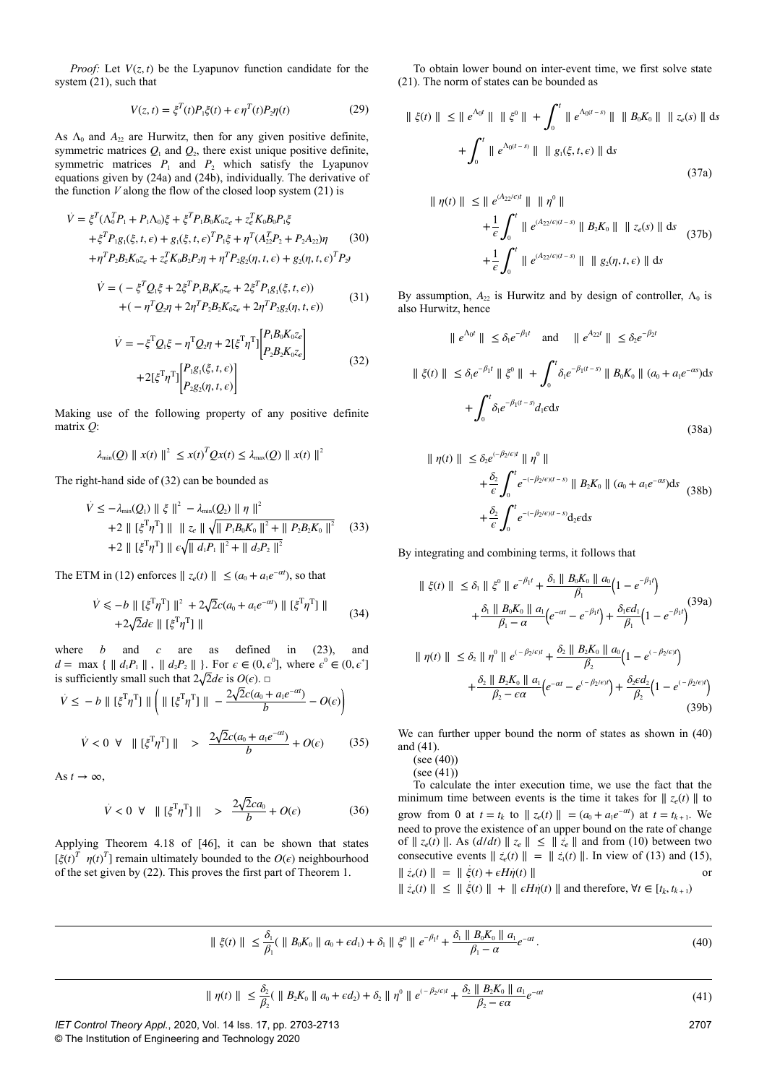*Proof:* Let  $V(z, t)$  be the Lyapunov function candidate for the system (21), such that

$$
V(z,t) = \xi^T(t)P_1\xi(t) + \epsilon \eta^T(t)P_2\eta(t)
$$
\n(29)

As  $\Lambda_0$  and  $A_2$  are Hurwitz, then for any given positive definite, symmetric matrices  $Q_1$  and  $Q_2$ , there exist unique positive definite, symmetric matrices  $P_1$  and  $P_2$  which satisfy the Lyapunov equations given by (24a) and (24b), individually. The derivative of the function *V* along the flow of the closed loop system (21) is

$$
\dot{V} = \xi^T (\Lambda_0^T P_1 + P_1 \Lambda_0) \xi + \xi^T P_1 B_0 K_0 z_e + z_e^T K_0 B_0 P_1 \xi \n+ \xi^T P_1 g_1(\xi, t, \epsilon) + g_1(\xi, t, \epsilon)^T P_1 \xi + \eta^T (A_{22}^T P_2 + P_2 A_{22}) \eta \n+ \eta^T P_2 B_2 K_0 z_e + z_e^T K_0 B_2 P_2 \eta + \eta^T P_2 g_2(\eta, t, \epsilon) + g_2(\eta, t, \epsilon)^T P_2
$$
\n(30)

$$
\dot{V} = (-\xi^T Q_1 \xi + 2\xi^T P_1 B_0 K_0 z_e + 2\xi^T P_1 g_1(\xi, t, \epsilon)) + (-\eta^T Q_2 \eta + 2\eta^T P_2 B_2 K_0 z_e + 2\eta^T P_2 g_2(\eta, t, \epsilon))
$$
(31)

$$
\dot{V} = -\xi^{\mathrm{T}} Q_{\mathrm{i}} \xi - \eta^{\mathrm{T}} Q_{\mathrm{2}} \eta + 2[\xi^{\mathrm{T}} \eta^{\mathrm{T}}] \begin{bmatrix} P_{\mathrm{i}} B_{\mathrm{0}} K_{\mathrm{0}} z_{e} \\ P_{\mathrm{2}} B_{\mathrm{2}} K_{\mathrm{0}} z_{e} \end{bmatrix} + 2[\xi^{\mathrm{T}} \eta^{\mathrm{T}}] \begin{bmatrix} P_{\mathrm{i}} g_{\mathrm{i}}(\xi, t, \epsilon) \\ P_{\mathrm{2}} g_{\mathrm{2}}(\eta, t, \epsilon) \end{bmatrix}
$$
\n(32)

Making use of the following property of any positive definite matrix *Q*:

$$
\lambda_{\min}(Q) \parallel x(t) \parallel^{2} \leq x(t)^{T} Q x(t) \leq \lambda_{\max}(Q) \parallel x(t) \parallel^{2}
$$

The right-hand side of (32) can be bounded as

$$
\dot{V} \le -\lambda_{\min}(Q_1) \parallel \xi \parallel^2 - \lambda_{\min}(Q_2) \parallel \eta \parallel^2
$$
  
+2 \parallel [\xi^T \eta^T] \parallel \parallel z\_e \parallel \sqrt{\parallel P\_1 B\_0 K\_0 \parallel^2 + \parallel P\_2 B\_2 K\_0 \parallel^2} (33)  
+2 \parallel [\xi^T \eta^T] \parallel \epsilon \sqrt{\parallel d\_1 P\_1 \parallel^2 + \parallel d\_2 P\_2 \parallel^2}

The ETM in (12) enforces  $|| z_e(t) || \leq (a_0 + a_1 e^{-\alpha t})$ , so that

$$
\dot{V} \leqslant -b \parallel [\xi^{\mathrm{T}} \eta^{\mathrm{T}}] \parallel^{2} + 2\sqrt{2}c(a_{0} + a_{1}e^{-\alpha t}) \parallel [\xi^{\mathrm{T}} \eta^{\mathrm{T}}] \parallel
$$
\n
$$
+ 2\sqrt{2}d\varepsilon \parallel [\xi^{\mathrm{T}} \eta^{\mathrm{T}}] \parallel
$$
\n(34)

where *b* and *c* are as defined in (23), and *d* = max {  $|| d_1P_1 ||$ ,  $|| d_2P_2 ||$  }. For  $\epsilon \in (0, \epsilon^0]$ , where  $\epsilon^0 \in (0, \epsilon^*]$ is sufficiently small such that  $2\sqrt{2}d\epsilon$  is  $O(\epsilon)$ .  $\Box$ 

$$
\dot{V} \le -b \parallel [\xi^{\mathrm{T}} \eta^{\mathrm{T}}] \parallel \left( \parallel [\xi^{\mathrm{T}} \eta^{\mathrm{T}}] \parallel -\frac{2\sqrt{2}c(a_0 + a_1 e^{-\alpha t})}{b} - O(\epsilon) \right)
$$
  

$$
\dot{V} < 0 \quad \forall \parallel [\xi^{\mathrm{T}} \eta^{\mathrm{T}}] \parallel > \frac{2\sqrt{2}c(a_0 + a_1 e^{-\alpha t})}{b} + O(\epsilon) \tag{35}
$$

As  $t \to \infty$ ,

$$
\dot{V} < 0 \ \forall \ \| [\xi^{\mathrm{T}} \eta^{\mathrm{T}}] \| > \ \frac{2\sqrt{2}ca_0}{b} + O(\epsilon) \tag{36}
$$

Applying Theorem 4.18 of [46], it can be shown that states [*ξ*(*t*) *T η*(*t*) *T* ] remain ultimately bounded to the *O*(*ϵ*) neighbourhood of the set given by (22). This proves the first part of Theorem 1.

To obtain lower bound on inter-event time, we first solve state (21). The norm of states can be bounded as

$$
\| \xi(t) \| \le \| e^{\Lambda_0 t} \| \| \xi^0 \| + \int_0^t \| e^{\Lambda_0 (t-s)} \| \| B_0 K_0 \| \| z_e(s) \| ds
$$
  
+ 
$$
\int_0^t \| e^{\Lambda_0 (t-s)} \| \| B_3(\xi, t, \epsilon) \| ds
$$
  
(37a)

$$
\| \eta(t) \| \le \| e^{(A_{22}/\epsilon)t} \| \| \eta^0 \|
$$
  
+  $\frac{1}{\epsilon} \int_0^t \| e^{(A_{22}/\epsilon)(t-s)} \| B_2 K_0 \| \| z_{\epsilon}(s) \| ds$  (37b)  
+  $\frac{1}{\epsilon} \int_0^t \| e^{(A_{22}/\epsilon)(t-s)} \| \| g_2(\eta, t, \epsilon) \| ds$ 

By assumption,  $A_{22}$  is Hurwitz and by design of controller,  $\Lambda_0$  is also Hurwitz, hence

$$
\|e^{\Lambda_0 t}\| \leq \delta_1 e^{-\beta_1 t} \quad \text{and} \quad \|e^{A_{22} t}\| \leq \delta_2 e^{-\beta_2 t}
$$
\n
$$
\|\xi(t)\| \leq \delta_1 e^{-\beta_1 t} \|\xi^0\| + \int_0^t \delta_1 e^{-\beta_1 (t-s)} \|B_0 K_0\| (a_0 + a_1 e^{-\alpha s}) ds
$$
\n
$$
+ \int_0^t \delta_1 e^{-\beta_1 (t-s)} d_1 \epsilon ds
$$
\n(38a)

$$
\| \eta(t) \| \le \delta_2 e^{(-\beta_2/\epsilon)t} \| \eta^0 \| + \frac{\delta_2}{\epsilon} \int_0^t e^{-(-\beta_2/\epsilon)(t-s)} \| B_2 K_0 \| (a_0 + a_1 e^{-\alpha s}) ds + \frac{\delta_2}{\epsilon} \int_0^t e^{-(-\beta_2/\epsilon)(t-s)} d_2 \epsilon ds
$$
 (38b)

By integrating and combining terms, it follows that

$$
\|\xi(t)\| \leq \delta_1 \|\xi^0\| e^{-\beta_1 t} + \frac{\delta_1 \|\beta_0 K_0\| a_0}{\beta_1} \left(1 - e^{-\beta_1 t}\right) \n+ \frac{\delta_1 \|\beta_0 K_0\| a_1}{\beta_1 - \alpha} \left(e^{-\alpha t} - e^{-\beta_1 t}\right) + \frac{\delta_1 \epsilon d_1}{\beta_1} \left(1 - e^{-\beta_1 t}\right) \n\|\eta(t)\| \leq \delta_2 \|\eta^0\| e^{(-\beta_2/\epsilon)t} + \frac{\delta_2 \|\beta_2 K_0\| a_0}{\beta_2} \left(1 - e^{(-\beta_2/\epsilon)t}\right) \n+ \frac{\delta_2 \|\beta_2 K_0\| a_1}{\beta_2 - \epsilon \alpha} \left(e^{-\alpha t} - e^{(-\beta_2/\epsilon)t}\right) + \frac{\delta_2 \epsilon d_2}{\beta_2} \left(1 - e^{(-\beta_2/\epsilon)t}\right)
$$
\n(39b)

We can further upper bound the norm of states as shown in (40) and (41).

(see (40))  $(see (41))$ 

To calculate the inter execution time, we use the fact that the minimum time between events is the time it takes for  $|| z_e(t) ||$  to grow from 0 at  $t = t_k$  to  $|| z_e(t) || = (a_0 + a_1 e^{-\alpha t})$  at  $t = t_{k+1}$ . We need to prove the existence of an upper bound on the rate of change of  $∥ z_e(t) ∥$ . As  $(d/dt) ∥ z_e ∥ ≤ ∥ z_e ∥$  and from (10) between two consecutive events  $|| z_e(t) || = || z_1(t) ||$ . In view of (13) and (15),  $\| \dot{z}_e(t) \| = \| \dot{\xi}(t) + \epsilon H \dot{\eta}(t) \|$  $\| \dot{z}_e(t) \|$  ≤  $\| \dot{\xi}(t) \|$  +  $\| \varepsilon H \dot{\eta}(t) \|$  and therefore,  $\forall t \in [t_k, t_{k+1}]$ 

$$
\| \xi(t) \| \leq \frac{\delta_1}{\beta_1} (\| B_0 K_0 \| a_0 + \epsilon d_1) + \delta_1 \| \xi^0 \| e^{-\beta_1 t} + \frac{\delta_1 \| B_0 K_0 \| a_1}{\beta_1 - \alpha} e^{-\alpha t}.
$$
\n(40)

$$
\| \eta(t) \| \leq \frac{\delta_2}{\beta_2} (\| B_2 K_0 \| a_0 + \epsilon d_2) + \delta_2 \| \eta^0 \| e^{(-\beta_2/\epsilon)t} + \frac{\delta_2 \| B_2 K_0 \| a_1}{\beta_2 - \epsilon \alpha} e^{-\alpha t}
$$
\n(41)

*IET Control Theory Appl.*, 2020, Vol. 14 Iss. 17, pp. 2703-2713

© The Institution of Engineering and Technology 2020

2707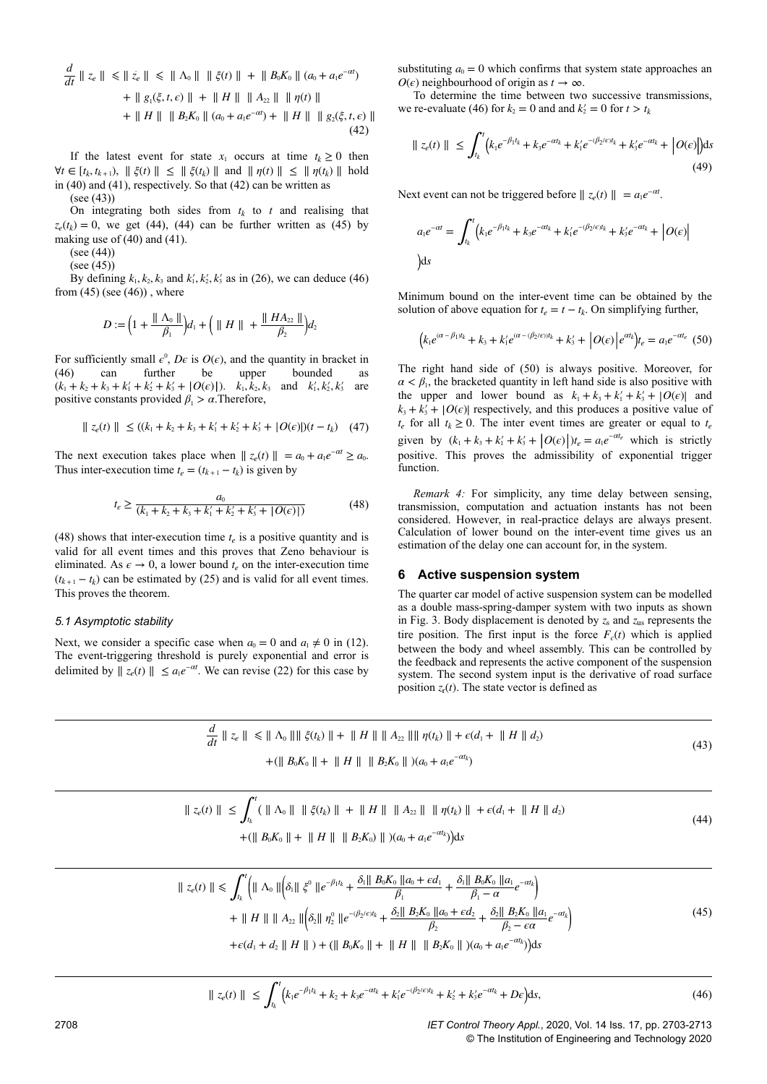$$
\frac{d}{dt} \| z_e \| \le \| \dot{z}_e \| \le \| \Lambda_0 \| \| \dot{\xi}(t) \| + \| B_0 K_0 \| (a_0 + a_1 e^{-at})
$$
  
+ 
$$
\| g_1(\xi, t, \epsilon) \| + \| H \| \| A_{22} \| \| \eta(t) \|
$$
  
+ 
$$
\| H \| \| B_2 K_0 \| (a_0 + a_1 e^{-at}) + \| H \| \| g_2(\xi, t, \epsilon) \|
$$
(42)

If the latest event for state  $x_1$  occurs at time  $t_k \geq 0$  then  $\forall t \in [t_k, t_{k+1}),$   $\parallel \xi(t) \parallel$  ≤  $\parallel \xi(t_k) \parallel$  and  $\parallel \eta(t) \parallel$  ≤  $\parallel \eta(t_k) \parallel$  hold in (40) and (41), respectively. So that (42) can be written as (see (43))

On integrating both sides from  $t_k$  to  $t$  and realising that  $z_e(t_k) = 0$ , we get (44), (44) can be further written as (45) by making use of (40) and (41).

 $(see (44))$ 

(see (45))

By defining  $k_1, k_2, k_3$  and  $k'_1, k'_2, k'_3$  as in (26), we can deduce (46) from  $(45)$  (see  $(46)$ ), where

$$
D := \left(1 + \frac{\| A_0 \|}{\beta_1}\right) d_1 + \left( \| H \| + \frac{\| H A_{22} \|}{\beta_2} \right) d_2
$$

For sufficiently small  $\epsilon^0$ ,  $D\epsilon$  is  $O(\epsilon)$ , and the quantity in bracket in (46) can further be upper bounded as  $(k_1 + k_2 + k_3 + k_1' + k_2' + k_3' + |O(\epsilon)|)$ .  $k_1, k_2, k_3$  and  $k_1', k_2', k_3'$  are positive constants provided  $\beta_1 > \alpha$ . Therefore,

$$
\| z_e(t) \| \le ((k_1 + k_2 + k_3 + k'_1 + k'_2 + k'_3 + |O(\epsilon)|)(t - t_k) \quad (47)
$$

The next execution takes place when  $|| z_e(t) || = a_0 + a_1 e^{-\alpha t} \ge a_0$ . Thus inter-execution time  $t_e = (t_{k+1} - t_k)$  is given by

$$
t_e \ge \frac{a_0}{(k_1 + k_2 + k_3 + k_1' + k_2' + k_3' + |O(\epsilon)|)}
$$
(48)

(48) shows that inter-execution time  $t_e$  is a positive quantity and is valid for all event times and this proves that Zeno behaviour is eliminated. As  $\epsilon \to 0$ , a lower bound  $t_e$  on the inter-execution time  $(t_{k+1} - t_k)$  can be estimated by (25) and is valid for all event times. This proves the theorem.

#### *5.1 Asymptotic stability*

Next, we consider a specific case when  $a_0 = 0$  and  $a_1 \neq 0$  in (12). The event-triggering threshold is purely exponential and error is delimited by  $\|z_e(t)\|$  ≤  $a_1e^{-\alpha t}$ . We can revise (22) for this case by

substituting  $a_0 = 0$  which confirms that system state approaches an  $O(\epsilon)$  neighbourhood of origin as  $t \to \infty$ .

To determine the time between two successive transmissions, we re-evaluate (46) for  $k_2 = 0$  and and  $k'_2 = 0$  for  $t > t_k$ 

$$
\| z_e(t) \| \le \int_{t_k}^t \left( k_1 e^{-\beta_1 t_k} + k_3 e^{-\alpha t_k} + k_1' e^{-(\beta_2/\epsilon)t_k} + k_3' e^{-\alpha t_k} + \left| O(\epsilon) \right| \right) ds
$$
\n(49)

Next event can not be triggered before  $|| z_e(t) || = a_1 e^{-\alpha t}$ .

$$
a_1 e^{-\alpha t} = \int_{t_k}^t \left( k_1 e^{-\beta_1 t_k} + k_3 e^{-\alpha t_k} + k_1' e^{-(\beta_2/\epsilon)t_k} + k_3' e^{-\alpha t_k} + \left| O(\epsilon) \right| \right)
$$
  
ds

Minimum bound on the inter-event time can be obtained by the solution of above equation for  $t_e = t - t_k$ . On simplifying further,

$$
\left(k_1 e^{(\alpha - \beta_1)t_k} + k_3 + k'_1 e^{(\alpha - (\beta_2/\epsilon))t_k} + k'_3 + |O(\epsilon)| e^{\alpha t_k} \right) t_e = a_1 e^{-\alpha t_e} \tag{50}
$$

The right hand side of (50) is always positive. Moreover, for  $\alpha < \beta_1$ , the bracketed quantity in left hand side is also positive with the upper and lower bound as  $k_1 + k_3 + k'_1 + k'_3 + |O(\epsilon)|$  and  $k_3 + k_3' + |O(\epsilon)|$  respectively, and this produces a positive value of  $t_e$  for all  $t_k \geq 0$ . The inter event times are greater or equal to  $t_e$ given by  $(k_1 + k_3 + k'_1 + k'_3 + |O(\epsilon)|)t_\epsilon = a_1 e^{-\alpha t_\epsilon}$  which is strictly positive. This proves the admissibility of exponential trigger function.

*Remark 4:* For simplicity, any time delay between sensing, transmission, computation and actuation instants has not been considered. However, in real-practice delays are always present. Calculation of lower bound on the inter-event time gives us an estimation of the delay one can account for, in the system.

## **6 Active suspension system**

The quarter car model of active suspension system can be modelled as a double mass-spring-damper system with two inputs as shown in Fig. 3. Body displacement is denoted by  $z_s$  and  $z_{us}$  represents the tire position. The first input is the force  $F_c(t)$  which is applied between the body and wheel assembly. This can be controlled by the feedback and represents the active component of the suspension system. The second system input is the derivative of road surface position  $z_r(t)$ . The state vector is defined as

$$
\frac{d}{dt} \parallel z_e \parallel \le \parallel \Lambda_0 \parallel \parallel \xi(t_k) \parallel + \parallel H \parallel \parallel A_{22} \parallel \parallel \eta(t_k) \parallel + \epsilon (d_1 + \parallel H \parallel d_2)
$$
\n
$$
+ (\parallel B_0 K_0 \parallel + \parallel H \parallel \parallel B_2 K_0 \parallel)(a_0 + a_1 e^{-\alpha t_k})
$$
\n(43)

$$
\| z_{e}(t) \| \leq \int_{t_{k}}^{t} (\| \Lambda_{0} \| \| \tilde{\xi}(t_{k}) \| + \| H \| \| A_{22} \| \| \eta(t_{k}) \| + \epsilon (d_{1} + \| H \| d_{2})
$$
  
+ 
$$
(\| B_{0} K_{0} \| + \| H \| \| B_{2} K_{0}) \|)(a_{0} + a_{1} e^{-\alpha t_{k}})ds
$$
 (44)

$$
\| z_{e}(t) \| \leq \int_{t_{k}}^{t} \left( \| \Lambda_{0} \| \left( \delta_{1} \| \xi^{0} \| e^{-\beta_{1} t_{k}} + \frac{\delta_{1} \| B_{0} K_{0} \| a_{0} + \epsilon d_{1}}{\beta_{1}} + \frac{\delta_{1} \| B_{0} K_{0} \| a_{1}}{\beta_{1} - \alpha} e^{-\alpha t_{k}} \right) \right. \\
\left. + \| H \| \| \| A_{22} \| \left( \delta_{2} \| \eta_{2}^{0} \| e^{-\beta_{2} \epsilon_{1} t_{k}} + \frac{\delta_{2} \| B_{2} K_{0} \| a_{0} + \epsilon d_{2}}{\beta_{2}} + \frac{\delta_{2} \| B_{2} K_{0} \| a_{1}}{\beta_{2} - \epsilon \alpha} e^{-\alpha t_{k}} \right) \right. \\
\left. + \epsilon (d_{1} + d_{2} \| H \|) + ( \| B_{0} K_{0} \| + \| H \| \| B_{2} K_{0} \|) (a_{0} + a_{1} e^{-\alpha t_{k}}) \right) ds
$$
\n
$$
(45)
$$

$$
\| z_e(t) \| \le \int_{t_k}^t \left( k_1 e^{-\beta_1 t_k} + k_2 + k_3 e^{-\alpha t_k} + k_1' e^{-(\beta_2/\epsilon)t_k} + k_2' + k_3' e^{-\alpha t_k} + D\epsilon \right) ds,
$$
\n(46)

2708 *IET Control Theory Appl.*, 2020, Vol. 14 Iss. 17, pp. 2703-2713 © The Institution of Engineering and Technology 2020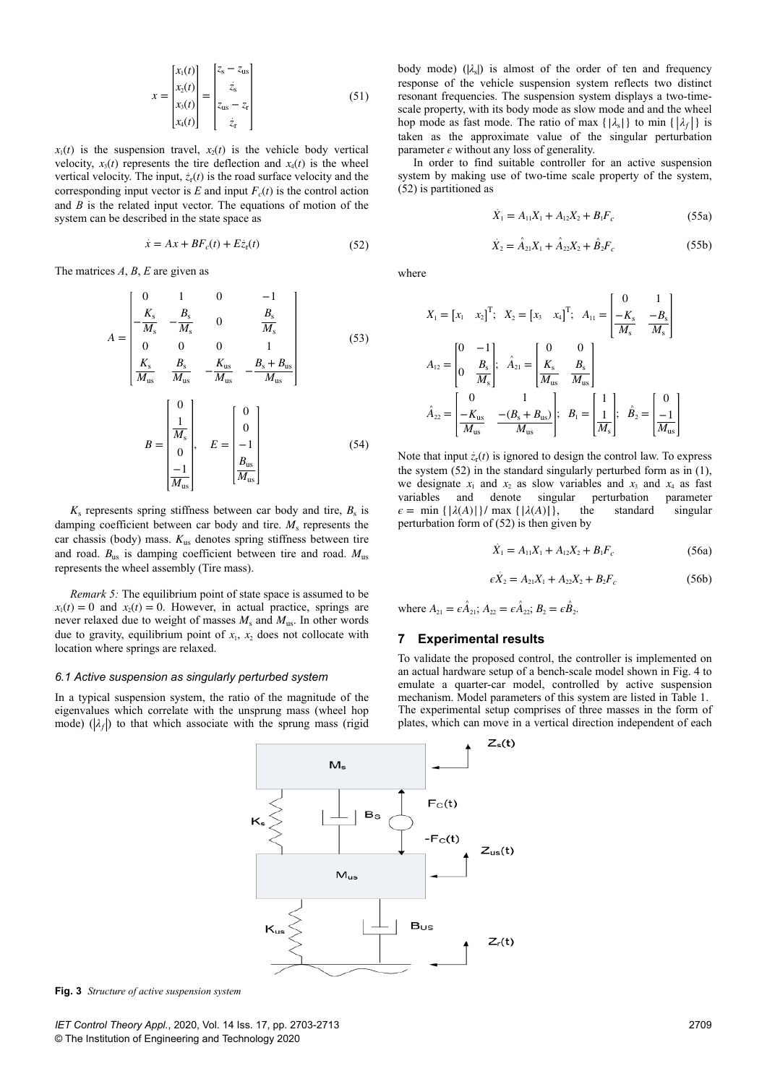$$
x = \begin{bmatrix} x_1(t) \\ x_2(t) \\ x_3(t) \\ x_4(t) \end{bmatrix} = \begin{bmatrix} z_s - z_{us} \\ \dot{z}_s \\ z_{us} - z_r \\ \dot{z}_r \end{bmatrix}
$$
(51)

 $x_1(t)$  is the suspension travel,  $x_2(t)$  is the vehicle body vertical velocity,  $x_3(t)$  represents the tire deflection and  $x_4(t)$  is the wheel vertical velocity. The input,  $\dot{z}_r(t)$  is the road surface velocity and the corresponding input vector is  $E$  and input  $F_c(t)$  is the control action and *B* is the related input vector. The equations of motion of the system can be described in the state space as

$$
\dot{x} = Ax + BF_c(t) + Ez_r(t)
$$
\n(52)

The matrices *A*, *B*, *E* are given as

$$
A = \begin{bmatrix} 0 & 1 & 0 & -1 \\ -\frac{K_s}{M_s} & -\frac{B_s}{M_s} & 0 & \frac{B_s}{M_s} \\ 0 & 0 & 0 & 1 \end{bmatrix}
$$
 (53)

$$
\begin{bmatrix}\n\frac{K_{\rm s}}{M_{\rm us}} & \frac{B_{\rm s}}{M_{\rm us}} & -\frac{K_{\rm us}}{M_{\rm us}} & -\frac{B_{\rm s} + B_{\rm us}}{M_{\rm us}}\n\end{bmatrix}
$$
\n
$$
B = \begin{bmatrix}\n0 \\
\frac{1}{M_{\rm s}} \\
0 \\
\frac{-1}{M_{\rm us}}\n\end{bmatrix}, \quad E = \begin{bmatrix}\n0 \\
0 \\
-1 \\
\frac{B_{\rm us}}{M_{\rm us}}\n\end{bmatrix}
$$
\n(54)

 $K<sub>s</sub>$  represents spring stiffness between car body and tire,  $B<sub>s</sub>$  is damping coefficient between car body and tire.  $M_s$  represents the car chassis (body) mass. *K*us denotes spring stiffness between tire and road. *B*us is damping coefficient between tire and road. *M*us represents the wheel assembly (Tire mass).

*Remark 5:* The equilibrium point of state space is assumed to be  $x_1(t) = 0$  and  $x_2(t) = 0$ . However, in actual practice, springs are never relaxed due to weight of masses *M*<sup>s</sup> and *M*us. In other words due to gravity, equilibrium point of  $x_1$ ,  $x_2$  does not collocate with location where springs are relaxed.

#### *6.1 Active suspension as singularly perturbed system*

In a typical suspension system, the ratio of the magnitude of the eigenvalues which correlate with the unsprung mass (wheel hop mode)  $(\lambda_f)$  to that which associate with the sprung mass (rigid

body mode) ( $|λ$ <sub>s</sub>) is almost of the order of ten and frequency response of the vehicle suspension system reflects two distinct resonant frequencies. The suspension system displays a two-timescale property, with its body mode as slow mode and and the wheel hop mode as fast mode. The ratio of max  $\{ | \lambda_{s} | \}$  to min  $\{ | \lambda_{f} | \}$  is taken as the approximate value of the singular perturbation parameter  $\epsilon$  without any loss of generality.

In order to find suitable controller for an active suspension system by making use of two-time scale property of the system, (52) is partitioned as

$$
\dot{X}_1 = A_{11}X_1 + A_{12}X_2 + B_1F_c \tag{55a}
$$

$$
\dot{X}_2 = \hat{A}_{21}X_1 + \hat{A}_{22}X_2 + \hat{B}_2F_c
$$
 (55b)

where

$$
X_{1} = \begin{bmatrix} x_{1} & x_{2} \end{bmatrix}^{T}; X_{2} = \begin{bmatrix} x_{3} & x_{4} \end{bmatrix}^{T}; A_{11} = \begin{bmatrix} 0 & 1 \\ \frac{-K_{s}}{M_{s}} & \frac{-B_{s}}{M_{s}} \end{bmatrix}
$$

$$
A_{12} = \begin{bmatrix} 0 & -1 \\ 0 & \frac{B_{s}}{M_{s}} \end{bmatrix}; \ \hat{A}_{21} = \begin{bmatrix} 0 & 0 \\ \frac{K_{s}}{M_{us}} & \frac{B_{s}}{M_{us}} \end{bmatrix}
$$

$$
\hat{A}_{22} = \begin{bmatrix} 0 & 1 \\ \frac{-K_{us}}{M_{us}} & \frac{-(B_{s} + B_{us})}{M_{us}} \end{bmatrix}; B_{1} = \begin{bmatrix} 1 \\ \frac{1}{M_{s}} \end{bmatrix}; \ \hat{B}_{2} = \begin{bmatrix} 0 \\ \frac{-1}{M_{us}} \end{bmatrix}
$$

Note that input  $z_r(t)$  is ignored to design the control law. To express the system (52) in the standard singularly perturbed form as in (1), we designate  $x_1$  and  $x_2$  as slow variables and  $x_3$  and  $x_4$  as fast variables and denote singular perturbation parameter  $\epsilon = \min \{ |\lambda(A)| \} / \max \{ |\lambda(A)| \}$ , the standard singular  $\epsilon = \min \{ |\lambda(A)| \} / \max \{ |\lambda(A)| \}$ , the standard singular perturbation form of (52) is then given by

$$
\dot{X}_1 = A_{11}X_1 + A_{12}X_2 + B_1F_c \tag{56a}
$$

$$
\epsilon \dot{X}_2 = A_{21}X_1 + A_{22}X_2 + B_2F_c \tag{56b}
$$

where  $A_{21} = \epsilon \hat{A}_{21}$ ;  $A_{22} = \epsilon \hat{A}_{22}$ ;  $B_{2} = \epsilon \hat{B}_{2}$ .

# **7 Experimental results**

To validate the proposed control, the controller is implemented on an actual hardware setup of a bench-scale model shown in Fig. 4 to emulate a quarter-car model, controlled by active suspension mechanism. Model parameters of this system are listed in Table 1. The experimental setup comprises of three masses in the form of plates, which can move in a vertical direction independent of each



**Fig. 3** *Structure of active suspension system*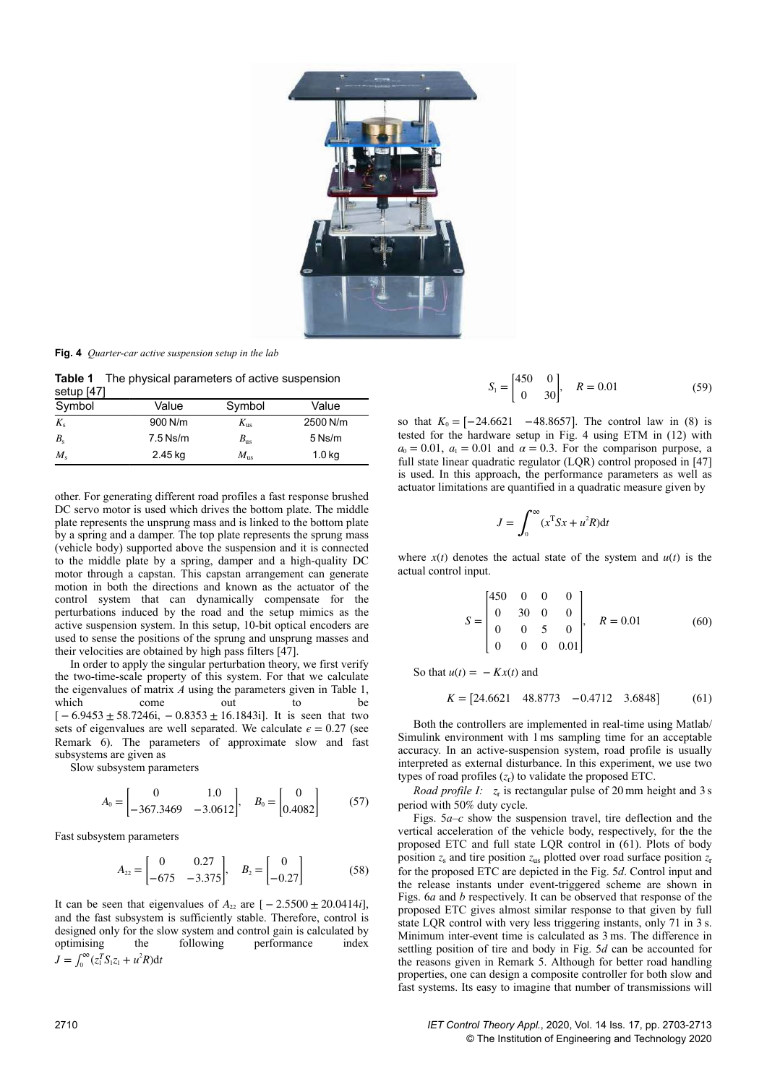

**Fig. 4** *Quarter-car active suspension setup in the lab*

**Table 1** The physical parameters of active suspension setup [47]

| $\sim$<br>Symbol | Value      | Symbol          | Value             |
|------------------|------------|-----------------|-------------------|
| $K_{\rm s}$      | 900 N/m    | $K_{\text{us}}$ | 2500 N/m          |
| $B_{\rm s}$      | $7.5$ Ns/m | $B_{\rm us}$    | $5$ Ns/m          |
| $M_{\rm s}$      | 2.45 kg    | $M_{\rm ns}$    | 1.0 <sub>kg</sub> |

other. For generating different road profiles a fast response brushed DC servo motor is used which drives the bottom plate. The middle plate represents the unsprung mass and is linked to the bottom plate by a spring and a damper. The top plate represents the sprung mass (vehicle body) supported above the suspension and it is connected to the middle plate by a spring, damper and a high-quality DC motor through a capstan. This capstan arrangement can generate motion in both the directions and known as the actuator of the control system that can dynamically compensate for the perturbations induced by the road and the setup mimics as the active suspension system. In this setup, 10-bit optical encoders are used to sense the positions of the sprung and unsprung masses and their velocities are obtained by high pass filters [47].

In order to apply the singular perturbation theory, we first verify the two-time-scale property of this system. For that we calculate the eigenvalues of matrix *A* using the parameters given in Table 1, which come out to be  $[-6.9453 \pm 58.7246i, -0.8353 \pm 16.1843i]$ . It is seen that two sets of eigenvalues are well separated. We calculate  $\epsilon = 0.27$  (see Remark 6). The parameters of approximate slow and fast subsystems are given as

Slow subsystem parameters

$$
A_0 = \begin{bmatrix} 0 & 1.0 \\ -367.3469 & -3.0612 \end{bmatrix}, \quad B_0 = \begin{bmatrix} 0 \\ 0.4082 \end{bmatrix} \tag{57}
$$

Fast subsystem parameters

$$
A_{22} = \begin{bmatrix} 0 & 0.27 \\ -675 & -3.375 \end{bmatrix}, \quad B_2 = \begin{bmatrix} 0 \\ -0.27 \end{bmatrix}
$$
 (58)

It can be seen that eigenvalues of  $A_{22}$  are  $[-2.5500 \pm 20.0414i]$ , and the fast subsystem is sufficiently stable. Therefore, control is designed only for the slow system and control gain is calculated by optimising the following performance index  $J = \int_0^\infty (z_1^T S_1 z_1 + u^2 R) dt$ 

$$
S_1 = \begin{bmatrix} 450 & 0 \\ 0 & 30 \end{bmatrix}, \quad R = 0.01 \tag{59}
$$

so that  $K_0 = [-24.6621 \quad -48.8657]$ . The control law in (8) is tested for the hardware setup in Fig. 4 using ETM in (12) with  $a_0 = 0.01$ ,  $a_1 = 0.01$  and  $\alpha = 0.3$ . For the comparison purpose, a full state linear quadratic regulator (LQR) control proposed in [47] is used. In this approach, the performance parameters as well as actuator limitations are quantified in a quadratic measure given by

$$
J = \int_0^\infty (x^T S x + u^2 R) dt
$$

where  $x(t)$  denotes the actual state of the system and  $u(t)$  is the actual control input.

$$
S = \begin{bmatrix} 450 & 0 & 0 & 0 \\ 0 & 30 & 0 & 0 \\ 0 & 0 & 5 & 0 \\ 0 & 0 & 0 & 0.01 \end{bmatrix}, \quad R = 0.01 \tag{60}
$$

So that  $u(t) = -Kx(t)$  and

$$
K = [24.6621 \quad 48.8773 \quad -0.4712 \quad 3.6848] \tag{61}
$$

Both the controllers are implemented in real-time using Matlab/ Simulink environment with 1 ms sampling time for an acceptable accuracy. In an active-suspension system, road profile is usually interpreted as external disturbance. In this experiment, we use two types of road profiles  $(z_r)$  to validate the proposed ETC.

*Road profile I:*  $z_r$  is rectangular pulse of 20 mm height and 3 s period with 50% duty cycle.

Figs. 5*a*–*c* show the suspension travel, tire deflection and the vertical acceleration of the vehicle body, respectively, for the the proposed ETC and full state LQR control in (61). Plots of body position  $z_s$  and tire position  $z_{us}$  plotted over road surface position  $z_s$ for the proposed ETC are depicted in the Fig. 5*d*. Control input and the release instants under event-triggered scheme are shown in Figs. 6*a* and *b* respectively. It can be observed that response of the proposed ETC gives almost similar response to that given by full state LQR control with very less triggering instants, only 71 in 3 s. Minimum inter-event time is calculated as 3 ms. The difference in settling position of tire and body in Fig. 5*d* can be accounted for the reasons given in Remark 5. Although for better road handling properties, one can design a composite controller for both slow and fast systems. Its easy to imagine that number of transmissions will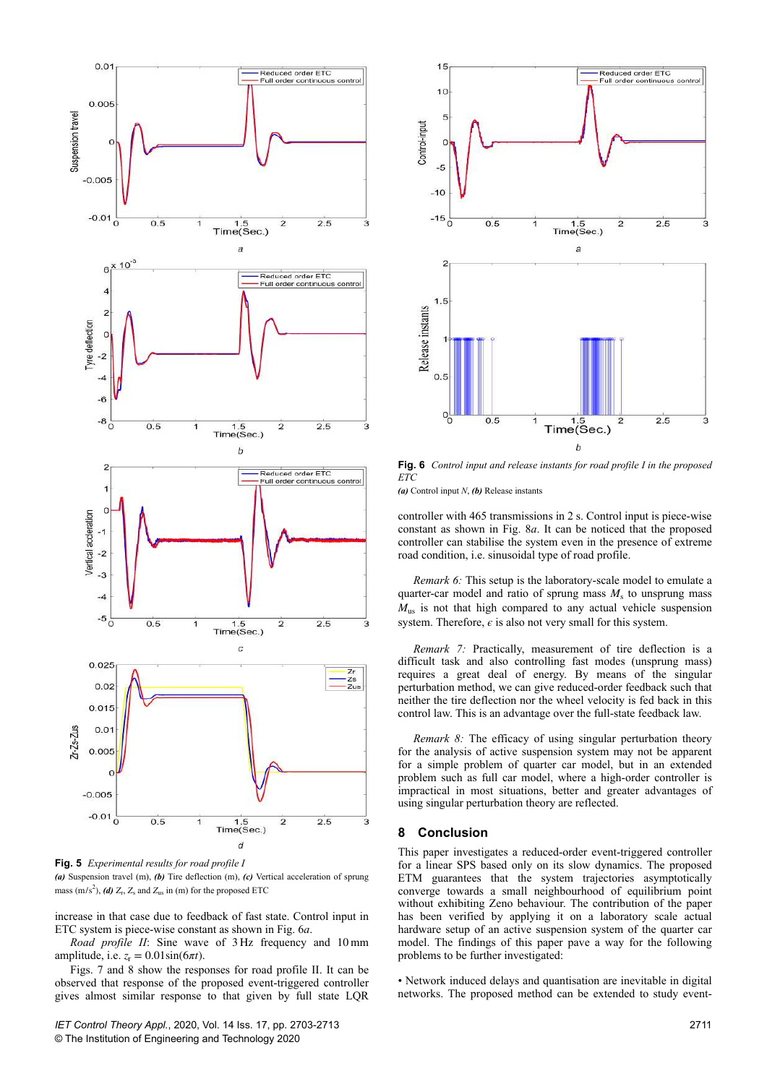

**Fig. 5** *Experimental results for road profile I (a)* Suspension travel (m), *(b)* Tire deflection (m), *(c)* Vertical acceleration of sprung mass  $(m/s<sup>2</sup>)$ , *(d)*  $Z_r$ ,  $Z_s$  and  $Z_{us}$  in *(m)* for the proposed ETC

increase in that case due to feedback of fast state. Control input in ETC system is piece-wise constant as shown in Fig. 6*a*.

*Road profile II*: Sine wave of 3 Hz frequency and 10 mm amplitude, i.e.  $z_r = 0.01 \sin(6\pi t)$ .

Figs. 7 and 8 show the responses for road profile II. It can be observed that response of the proposed event-triggered controller gives almost similar response to that given by full state LQR



**Fig. 6** *Control input and release instants for road profile I in the proposed ETC*

*(a)* Control input *N*, *(b)* Release instants

controller with 465 transmissions in 2 s. Control input is piece-wise constant as shown in Fig. 8*a*. It can be noticed that the proposed controller can stabilise the system even in the presence of extreme road condition, i.e. sinusoidal type of road profile.

*Remark 6:* This setup is the laboratory-scale model to emulate a quarter-car model and ratio of sprung mass  $M<sub>s</sub>$  to unsprung mass  $M_{us}$  is not that high compared to any actual vehicle suspension system. Therefore,  $\epsilon$  is also not very small for this system.

*Remark 7:* Practically, measurement of tire deflection is a difficult task and also controlling fast modes (unsprung mass) requires a great deal of energy. By means of the singular perturbation method, we can give reduced-order feedback such that neither the tire deflection nor the wheel velocity is fed back in this control law. This is an advantage over the full-state feedback law.

*Remark 8:* The efficacy of using singular perturbation theory for the analysis of active suspension system may not be apparent for a simple problem of quarter car model, but in an extended problem such as full car model, where a high-order controller is impractical in most situations, better and greater advantages of using singular perturbation theory are reflected.

## **8 Conclusion**

This paper investigates a reduced-order event-triggered controller for a linear SPS based only on its slow dynamics. The proposed ETM guarantees that the system trajectories asymptotically converge towards a small neighbourhood of equilibrium point without exhibiting Zeno behaviour. The contribution of the paper has been verified by applying it on a laboratory scale actual hardware setup of an active suspension system of the quarter car model. The findings of this paper pave a way for the following problems to be further investigated:

• Network induced delays and quantisation are inevitable in digital networks. The proposed method can be extended to study event-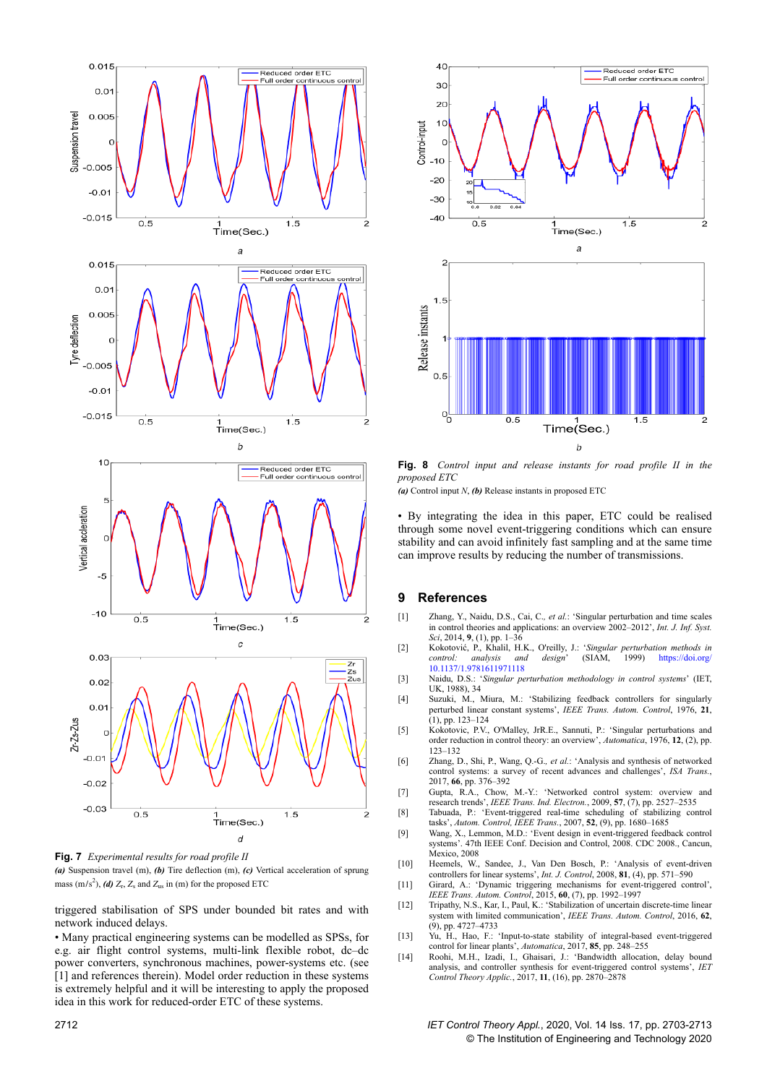

**Fig. 7** *Experimental results for road profile II*

*(a)* Suspension travel (m), *(b)* Tire deflection (m), *(c)* Vertical acceleration of sprung mass  $(m/s^2)$ , *(d)*  $Z_r$ ,  $Z_s$  and  $Z_{us}$  in *(m)* for the proposed ETC

triggered stabilisation of SPS under bounded bit rates and with network induced delays.

• Many practical engineering systems can be modelled as SPSs, for e.g. air flight control systems, multi-link flexible robot, dc–dc power converters, synchronous machines, power-systems etc. (see [1] and references therein). Model order reduction in these systems is extremely helpful and it will be interesting to apply the proposed idea in this work for reduced-order ETC of these systems.



**Fig. 8** *Control input and release instants for road profile II in the proposed ETC*

*(a)* Control input *N*, *(b)* Release instants in proposed ETC

• By integrating the idea in this paper, ETC could be realised through some novel event-triggering conditions which can ensure stability and can avoid infinitely fast sampling and at the same time can improve results by reducing the number of transmissions.

## **9 References**

- [1] Zhang, Y., Naidu, D.S., Cai, C.*, et al.*: 'Singular perturbation and time scales in control theories and applications: an overview 2002–2012', *Int. J. Inf. Syst. Sci*, 2014, **9**, (1), pp. 1–36
- [2] Kokotović, P., Khalil, H.K., O'reilly, J.: '*Singular perturbation methods in* and design' (SIAM, 1999) https://doi.org/ 10.1137/1.9781611971118
- [3] Naidu, D.S.: '*Singular perturbation methodology in control systems*' (IET, UK, 1988), 34
- [4] Suzuki, M., Miura, M.: 'Stabilizing feedback controllers for singularly perturbed linear constant systems', *IEEE Trans. Autom. Control*, 1976, **21**,  $(1)$ , pp. 123–124
- [5] Kokotovic, P.V., O'Malley, JrR.E., Sannuti, P.: 'Singular perturbations and order reduction in control theory: an overview', *Automatica*, 1976, **12**, (2), pp. 123–132
- [6] Zhang, D., Shi, P., Wang, Q.-G.*, et al.*: 'Analysis and synthesis of networked control systems: a survey of recent advances and challenges', *ISA Trans.*, 2017, **66**, pp. 376–392
- [7] Gupta, R.A., Chow, M.-Y.: 'Networked control system: overview and research trends', *IEEE Trans. Ind. Electron.*, 2009, **57**, (7), pp. 2527–2535 [8] Tabuada, P.: 'Event-triggered real-time scheduling of stabilizing control
- tasks', *Autom. Control, IEEE Trans.*, 2007, **52**, (9), pp. 1680–1685
- [9] Wang, X., Lemmon, M.D.: 'Event design in event-triggered feedback control systems'. 47th IEEE Conf. Decision and Control, 2008. CDC 2008., Cancun, Mexico, 2008
- [10] Heemels, W., Sandee, J., Van Den Bosch, P.: 'Analysis of event-driven controllers for linear systems', *Int. J. Control*, 2008, **81**, (4), pp. 571–590
- [11] Girard, A.: 'Dynamic triggering mechanisms for event-triggered control', *IEEE Trans. Autom. Control*, 2015, **60**, (7), pp. 1992–1997
- [12] Tripathy, N.S., Kar, I., Paul, K.: 'Stabilization of uncertain discrete-time linear system with limited communication', *IEEE Trans. Autom. Control*, 2016, **62**, (9), pp. 4727–4733
- [13] Yu, H., Hao, F.: 'Input-to-state stability of integral-based event-triggered control for linear plants', *Automatica*, 2017, **85**, pp. 248–255
- [14] Roohi, M.H., Izadi, I., Ghaisari, J.: 'Bandwidth allocation, delay bound analysis, and controller synthesis for event-triggered control systems', *IET Control Theory Applic.*, 2017, **11**, (16), pp. 2870–2878

2712 *IET Control Theory Appl.*, 2020, Vol. 14 Iss. 17, pp. 2703-2713 © The Institution of Engineering and Technology 2020